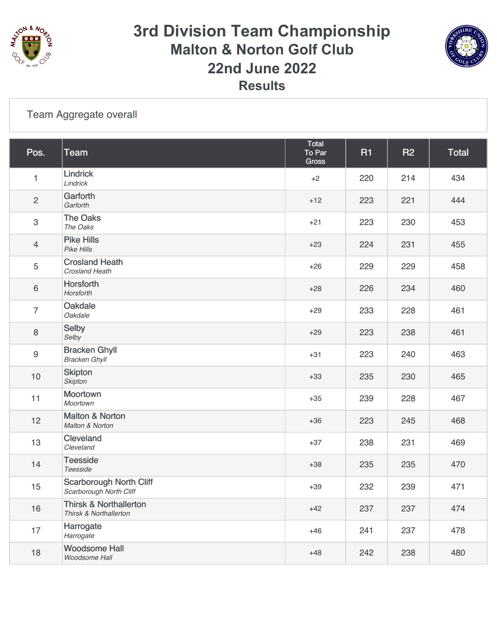

### **3rd Division Team Championship Malton & Norton Golf Club 22nd June 2022 Results**



#### [Team Aggregate overall](https://static.golfgenius.com/v2tournaments/8552609546974034658?called_from=&round_index=2)

| Pos.           | <b>Team</b>                                                 | Total<br>To Par<br><b>Gross</b> | <b>R1</b> | <b>R2</b> | <b>Total</b> |
|----------------|-------------------------------------------------------------|---------------------------------|-----------|-----------|--------------|
| 1              | Lindrick<br>Lindrick                                        | $+2$                            | 220       | 214       | 434          |
| $\overline{c}$ | Garforth<br>Garforth                                        | $+12$                           | 223       | 221       | 444          |
| 3              | <b>The Oaks</b><br>The Oaks                                 | $+21$                           | 223       | 230       | 453          |
| $\overline{4}$ | <b>Pike Hills</b><br>Pike Hills                             | $+23$                           | 224       | 231       | 455          |
| 5              | <b>Crosland Heath</b><br>Crosland Heath                     | $+26$                           | 229       | 229       | 458          |
| 6              | Horsforth<br>Horsforth                                      | $+28$                           | 226       | 234       | 460          |
| $\overline{7}$ | Oakdale<br>Oakdale                                          | $+29$                           | 233       | 228       | 461          |
| 8              | Selby<br>Selby                                              | $+29$                           | 223       | 238       | 461          |
| 9              | <b>Bracken Ghyll</b><br><b>Bracken Ghyll</b>                | $+31$                           | 223       | 240       | 463          |
| $10$           | <b>Skipton</b><br><b>Skipton</b>                            | $+33$                           | 235       | 230       | 465          |
| 11             | Moortown<br>Moortown                                        | $+35$                           | 239       | 228       | 467          |
| 12             | <b>Malton &amp; Norton</b><br>Malton & Norton               | $+36$                           | 223       | 245       | 468          |
| 13             | Cleveland<br>Cleveland                                      | $+37$                           | 238       | 231       | 469          |
| 14             | <b>Teesside</b><br>Teesside                                 | $+38$                           | 235       | 235       | 470          |
| 15             | <b>Scarborough North Cliff</b><br>Scarborough North Cliff   | $+39$                           | 232       | 239       | 471          |
| 16             | <b>Thirsk &amp; Northallerton</b><br>Thirsk & Northallerton | $+42$                           | 237       | 237       | 474          |
| 17             | Harrogate<br>Harrogate                                      | $+46$                           | 241       | 237       | 478          |
| 18             | <b>Woodsome Hall</b><br>Woodsome Hall                       | $+48$                           | 242       | 238       | 480          |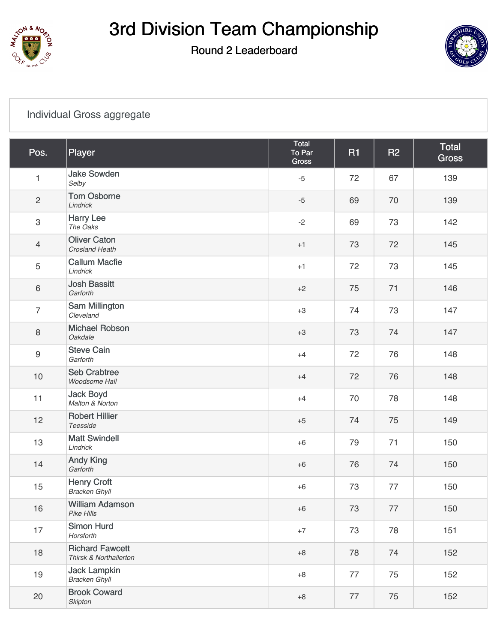

# 3rd Division Team Championship

#### Round 2 Leaderboard



#### [Individual Gross aggregate](https://static.golfgenius.com/v2tournaments/8552609491105905373?called_from=&round_index=2)

| Pos.             | Player                                           | Total<br>To Par<br>Gross | <b>R1</b> | <b>R2</b> | <b>Total</b><br><b>Gross</b> |
|------------------|--------------------------------------------------|--------------------------|-----------|-----------|------------------------------|
| $\mathbf{1}$     | <b>Jake Sowden</b><br>Selby                      | $-5$                     | 72        | 67        | 139                          |
| $\overline{c}$   | <b>Tom Osborne</b><br>Lindrick                   | $-5$                     | 69        | 70        | 139                          |
| $\mathfrak{S}$   | <b>Harry Lee</b><br>The Oaks                     | $-2$                     | 69        | 73        | 142                          |
| $\overline{4}$   | <b>Oliver Caton</b><br>Crosland Heath            | $+1$                     | 73        | 72        | 145                          |
| 5                | <b>Callum Macfie</b><br>Lindrick                 | $+1$                     | 72        | 73        | 145                          |
| 6                | <b>Josh Bassitt</b><br>Garforth                  | $+2$                     | 75        | 71        | 146                          |
| $\overline{7}$   | Sam Millington<br>Cleveland                      | $+3$                     | 74        | 73        | 147                          |
| $\,8\,$          | <b>Michael Robson</b><br>Oakdale                 | $+3$                     | 73        | 74        | 147                          |
| $\boldsymbol{9}$ | <b>Steve Cain</b><br>Garforth                    | $+4$                     | 72        | 76        | 148                          |
| $10$             | <b>Seb Crabtree</b><br>Woodsome Hall             | $+4$                     | 72        | 76        | 148                          |
| 11               | <b>Jack Boyd</b><br>Malton & Norton              | $+4$                     | 70        | 78        | 148                          |
| 12               | <b>Robert Hillier</b><br>Teesside                | $+5$                     | 74        | 75        | 149                          |
| 13               | <b>Matt Swindell</b><br>Lindrick                 | $+6$                     | 79        | 71        | 150                          |
| 14               | <b>Andy King</b><br>Garforth                     | $+6$                     | 76        | 74        | 150                          |
| 15               | <b>Henry Croft</b><br><b>Bracken Ghyll</b>       | $+6$                     | 73        | 77        | 150                          |
| 16               | <b>William Adamson</b><br>Pike Hills             | $+6$                     | 73        | 77        | 150                          |
| 17               | <b>Simon Hurd</b><br>Horsforth                   | $+7$                     | 73        | 78        | 151                          |
| 18               | <b>Richard Fawcett</b><br>Thirsk & Northallerton | $+8$                     | 78        | 74        | 152                          |
| 19               | <b>Jack Lampkin</b><br><b>Bracken Ghyll</b>      | $+8$                     | 77        | 75        | 152                          |
| 20               | <b>Brook Coward</b><br><b>Skipton</b>            | $\bf +8$                 | 77        | 75        | 152                          |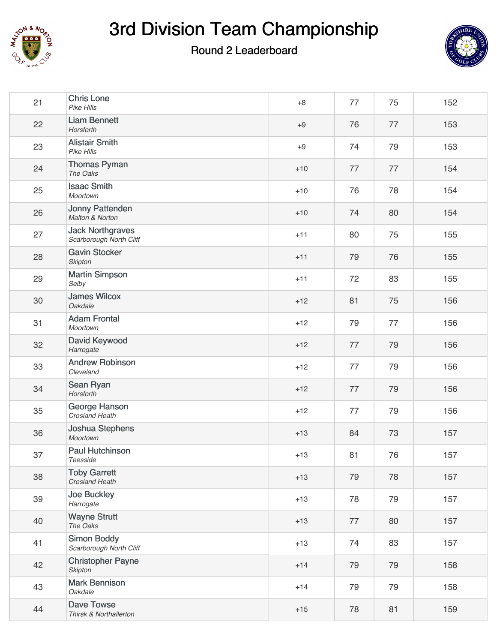

# 3rd Division Team Championship

### Round 2 Leaderboard



| 21 | <b>Chris Lone</b><br>Pike Hills                    | $+8$  | 77 | 75 | 152 |
|----|----------------------------------------------------|-------|----|----|-----|
| 22 | <b>Liam Bennett</b><br>Horsforth                   | $+9$  | 76 | 77 | 153 |
| 23 | <b>Alistair Smith</b><br>Pike Hills                | $+9$  | 74 | 79 | 153 |
| 24 | <b>Thomas Pyman</b><br>The Oaks                    | $+10$ | 77 | 77 | 154 |
| 25 | <b>Isaac Smith</b><br>Moortown                     | $+10$ | 76 | 78 | 154 |
| 26 | <b>Jonny Pattenden</b><br>Malton & Norton          | $+10$ | 74 | 80 | 154 |
| 27 | <b>Jack Northgraves</b><br>Scarborough North Cliff | $+11$ | 80 | 75 | 155 |
| 28 | <b>Gavin Stocker</b><br><b>Skipton</b>             | $+11$ | 79 | 76 | 155 |
| 29 | <b>Martin Simpson</b><br>Selby                     | $+11$ | 72 | 83 | 155 |
| 30 | <b>James Wilcox</b><br>Oakdale                     | $+12$ | 81 | 75 | 156 |
| 31 | <b>Adam Frontal</b><br>Moortown                    | $+12$ | 79 | 77 | 156 |
| 32 | David Keywood<br>Harrogate                         | $+12$ | 77 | 79 | 156 |
| 33 | <b>Andrew Robinson</b><br>Cleveland                | $+12$ | 77 | 79 | 156 |
| 34 | Sean Ryan<br>Horsforth                             | $+12$ | 77 | 79 | 156 |
| 35 | George Hanson<br>Crosland Heath                    | $+12$ | 77 | 79 | 156 |
| 36 | Joshua Stephens<br>Moortown                        | $+13$ | 84 | 73 | 157 |
| 37 | <b>Paul Hutchinson</b><br>Teesside                 | $+13$ | 81 | 76 | 157 |
| 38 | <b>Toby Garrett</b><br>Crosland Heath              | $+13$ | 79 | 78 | 157 |
| 39 | Joe Buckley<br>Harrogate                           | $+13$ | 78 | 79 | 157 |
| 40 | <b>Wayne Strutt</b><br>The Oaks                    | $+13$ | 77 | 80 | 157 |
| 41 | <b>Simon Boddy</b><br>Scarborough North Cliff      | $+13$ | 74 | 83 | 157 |
| 42 | <b>Christopher Payne</b><br>Skipton                | $+14$ | 79 | 79 | 158 |
| 43 | <b>Mark Bennison</b><br>Oakdale                    | $+14$ | 79 | 79 | 158 |
| 44 | Dave Towse<br>Thirsk & Northallerton               | $+15$ | 78 | 81 | 159 |